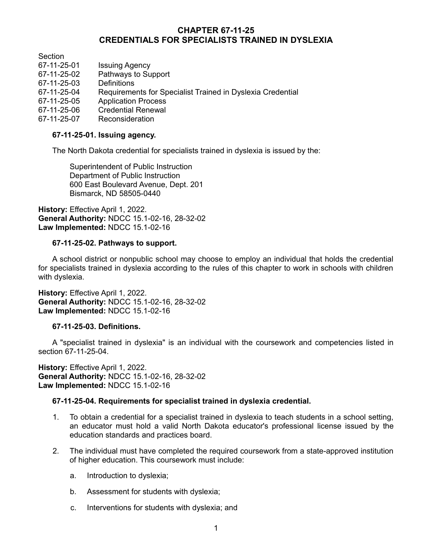# **CHAPTER 67-11-25 CREDENTIALS FOR SPECIALISTS TRAINED IN DYSLEXIA**

Section

67-11-25-01 Issuing Agency Pathways to Support 67-11-25-03 Definitions 67-11-25-04 Requirements for Specialist Trained in Dyslexia Credential 67-11-25-05 Application Process 67-11-25-06 Credential Renewal 67-11-25-07 Reconsideration

## **67-11-25-01. Issuing agency.**

The North Dakota credential for specialists trained in dyslexia is issued by the:

Superintendent of Public Instruction Department of Public Instruction 600 East Boulevard Avenue, Dept. 201 Bismarck, ND 58505-0440

**History:** Effective April 1, 2022. **General Authority:** NDCC 15.1-02-16, 28-32-02 **Law Implemented:** NDCC 15.1-02-16

#### **67-11-25-02. Pathways to support.**

A school district or nonpublic school may choose to employ an individual that holds the credential for specialists trained in dyslexia according to the rules of this chapter to work in schools with children with dyslexia.

**History:** Effective April 1, 2022. **General Authority:** NDCC 15.1-02-16, 28-32-02 **Law Implemented:** NDCC 15.1-02-16

### **67-11-25-03. Definitions.**

A "specialist trained in dyslexia" is an individual with the coursework and competencies listed in section 67-11-25-04.

**History:** Effective April 1, 2022. **General Authority:** NDCC 15.1-02-16, 28-32-02 **Law Implemented:** NDCC 15.1-02-16

### **67-11-25-04. Requirements for specialist trained in dyslexia credential.**

- 1. To obtain a credential for a specialist trained in dyslexia to teach students in a school setting, an educator must hold a valid North Dakota educator's professional license issued by the education standards and practices board.
- 2. The individual must have completed the required coursework from a state-approved institution of higher education. This coursework must include:
	- a. Introduction to dyslexia;
	- b. Assessment for students with dyslexia;
	- c. Interventions for students with dyslexia; and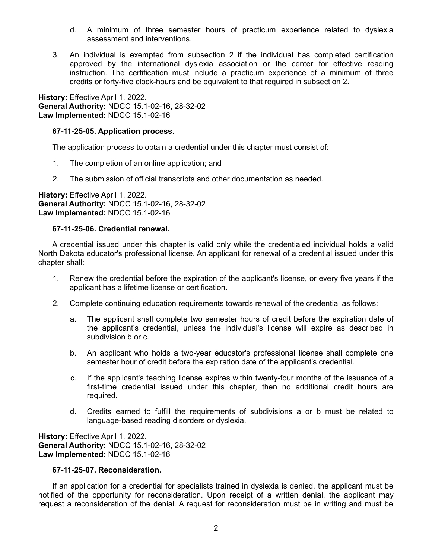- d. A minimum of three semester hours of practicum experience related to dyslexia assessment and interventions.
- 3. An individual is exempted from subsection 2 if the individual has completed certification approved by the international dyslexia association or the center for effective reading instruction. The certification must include a practicum experience of a minimum of three credits or forty-five clock-hours and be equivalent to that required in subsection 2.

**History:** Effective April 1, 2022. **General Authority:** NDCC 15.1-02-16, 28-32-02 **Law Implemented:** NDCC 15.1-02-16

### **67-11-25-05. Application process.**

The application process to obtain a credential under this chapter must consist of:

- 1. The completion of an online application; and
- 2. The submission of official transcripts and other documentation as needed.

**History:** Effective April 1, 2022. **General Authority:** NDCC 15.1-02-16, 28-32-02 **Law Implemented:** NDCC 15.1-02-16

### **67-11-25-06. Credential renewal.**

A credential issued under this chapter is valid only while the credentialed individual holds a valid North Dakota educator's professional license. An applicant for renewal of a credential issued under this chapter shall:

- 1. Renew the credential before the expiration of the applicant's license, or every five years if the applicant has a lifetime license or certification.
- 2. Complete continuing education requirements towards renewal of the credential as follows:
	- a. The applicant shall complete two semester hours of credit before the expiration date of the applicant's credential, unless the individual's license will expire as described in subdivision b or c.
	- b. An applicant who holds a two-year educator's professional license shall complete one semester hour of credit before the expiration date of the applicant's credential.
	- c. If the applicant's teaching license expires within twenty-four months of the issuance of a first-time credential issued under this chapter, then no additional credit hours are required.
	- d. Credits earned to fulfill the requirements of subdivisions a or b must be related to language-based reading disorders or dyslexia.

**History:** Effective April 1, 2022. **General Authority:** NDCC 15.1-02-16, 28-32-02 **Law Implemented:** NDCC 15.1-02-16

### **67-11-25-07. Reconsideration.**

If an application for a credential for specialists trained in dyslexia is denied, the applicant must be notified of the opportunity for reconsideration. Upon receipt of a written denial, the applicant may request a reconsideration of the denial. A request for reconsideration must be in writing and must be